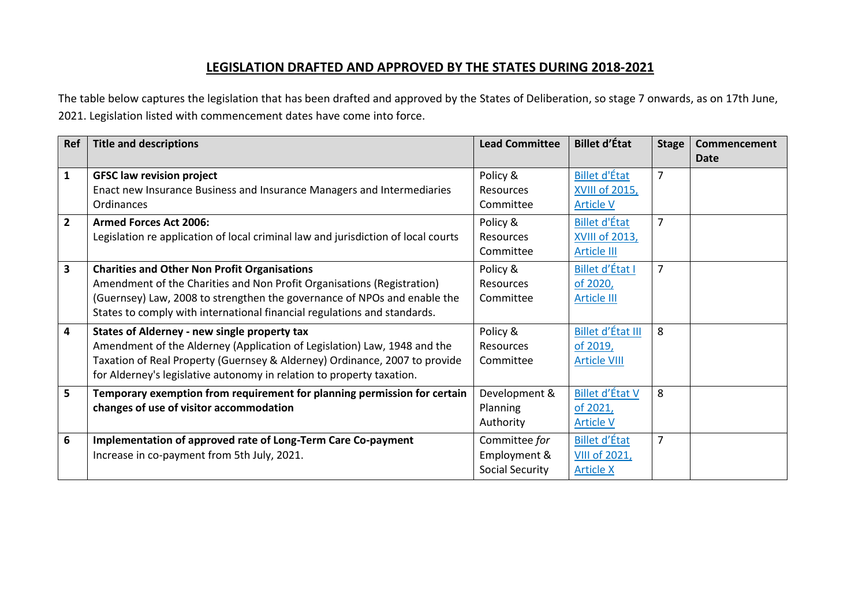## **LEGISLATION DRAFTED AND APPROVED BY THE STATES DURING 2018-2021**

The table below captures the legislation that has been drafted and approved by the States of Deliberation, so stage 7 onwards, as on 17th June, 2021. Legislation listed with commencement dates have come into force.

| Ref                     | <b>Title and descriptions</b>                                                                                                                                                                                                                                                         | <b>Lead Committee</b>                            | <b>Billet d'État</b>                                              | <b>Stage</b>   | Commencement<br><b>Date</b> |
|-------------------------|---------------------------------------------------------------------------------------------------------------------------------------------------------------------------------------------------------------------------------------------------------------------------------------|--------------------------------------------------|-------------------------------------------------------------------|----------------|-----------------------------|
| $\mathbf{1}$            | <b>GFSC law revision project</b><br>Enact new Insurance Business and Insurance Managers and Intermediaries<br>Ordinances                                                                                                                                                              | Policy &<br><b>Resources</b><br>Committee        | <b>Billet d'État</b><br><b>XVIII of 2015,</b><br><b>Article V</b> | 7              |                             |
| $\overline{2}$          | <b>Armed Forces Act 2006:</b><br>Legislation re application of local criminal law and jurisdiction of local courts                                                                                                                                                                    | Policy &<br><b>Resources</b><br>Committee        | <b>Billet d'État</b><br>XVIII of 2013,<br><b>Article III</b>      | $\overline{7}$ |                             |
| 3                       | <b>Charities and Other Non Profit Organisations</b><br>Amendment of the Charities and Non Profit Organisations (Registration)<br>(Guernsey) Law, 2008 to strengthen the governance of NPOs and enable the<br>States to comply with international financial regulations and standards. | Policy &<br><b>Resources</b><br>Committee        | Billet d'État I<br>of 2020,<br><b>Article III</b>                 | 7              |                             |
| $\overline{\mathbf{4}}$ | States of Alderney - new single property tax<br>Amendment of the Alderney (Application of Legislation) Law, 1948 and the<br>Taxation of Real Property (Guernsey & Alderney) Ordinance, 2007 to provide<br>for Alderney's legislative autonomy in relation to property taxation.       | Policy &<br><b>Resources</b><br>Committee        | Billet d'État III<br>of 2019,<br><b>Article VIII</b>              | 8              |                             |
| 5                       | Temporary exemption from requirement for planning permission for certain<br>changes of use of visitor accommodation                                                                                                                                                                   | Development &<br>Planning<br>Authority           | <b>Billet d'État V</b><br>of 2021,<br><b>Article V</b>            | 8              |                             |
| 6                       | Implementation of approved rate of Long-Term Care Co-payment<br>Increase in co-payment from 5th July, 2021.                                                                                                                                                                           | Committee for<br>Employment &<br>Social Security | <b>Billet d'État</b><br><b>VIII of 2021,</b><br><b>Article X</b>  | 7              |                             |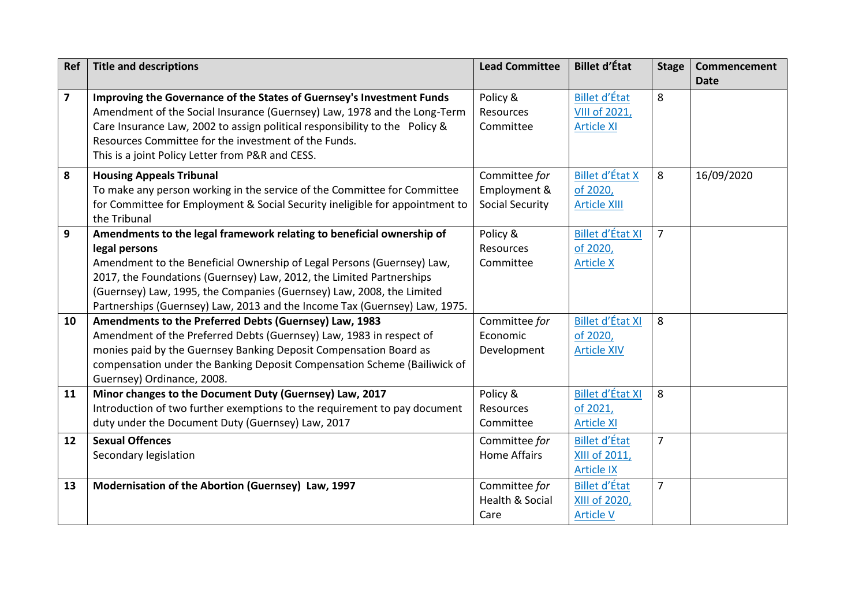| Ref                     | <b>Title and descriptions</b>                                                | <b>Lead Committee</b>  | <b>Billet d'État</b>    | <b>Stage</b>   | Commencement<br><b>Date</b> |
|-------------------------|------------------------------------------------------------------------------|------------------------|-------------------------|----------------|-----------------------------|
| $\overline{\mathbf{z}}$ | Improving the Governance of the States of Guernsey's Investment Funds        | Policy &               | <b>Billet d'État</b>    | 8              |                             |
|                         | Amendment of the Social Insurance (Guernsey) Law, 1978 and the Long-Term     | Resources              | <b>VIII of 2021,</b>    |                |                             |
|                         | Care Insurance Law, 2002 to assign political responsibility to the Policy &  | Committee              | <b>Article XI</b>       |                |                             |
|                         | Resources Committee for the investment of the Funds.                         |                        |                         |                |                             |
|                         | This is a joint Policy Letter from P&R and CESS.                             |                        |                         |                |                             |
| 8                       | <b>Housing Appeals Tribunal</b>                                              | Committee for          | <b>Billet d'État X</b>  | 8              | 16/09/2020                  |
|                         | To make any person working in the service of the Committee for Committee     | Employment &           | of 2020,                |                |                             |
|                         | for Committee for Employment & Social Security ineligible for appointment to | <b>Social Security</b> | <b>Article XIII</b>     |                |                             |
|                         | the Tribunal                                                                 |                        |                         |                |                             |
| 9                       | Amendments to the legal framework relating to beneficial ownership of        | Policy &               | Billet d'État XI        | $\overline{7}$ |                             |
|                         | legal persons                                                                | Resources              | of 2020,                |                |                             |
|                         | Amendment to the Beneficial Ownership of Legal Persons (Guernsey) Law,       | Committee              | <b>Article X</b>        |                |                             |
|                         | 2017, the Foundations (Guernsey) Law, 2012, the Limited Partnerships         |                        |                         |                |                             |
|                         | (Guernsey) Law, 1995, the Companies (Guernsey) Law, 2008, the Limited        |                        |                         |                |                             |
|                         | Partnerships (Guernsey) Law, 2013 and the Income Tax (Guernsey) Law, 1975.   |                        |                         |                |                             |
| 10                      | Amendments to the Preferred Debts (Guernsey) Law, 1983                       | Committee for          | Billet d'État XI        | 8              |                             |
|                         | Amendment of the Preferred Debts (Guernsey) Law, 1983 in respect of          | Economic               | of 2020,                |                |                             |
|                         | monies paid by the Guernsey Banking Deposit Compensation Board as            | Development            | <b>Article XIV</b>      |                |                             |
|                         | compensation under the Banking Deposit Compensation Scheme (Bailiwick of     |                        |                         |                |                             |
|                         | Guernsey) Ordinance, 2008.                                                   |                        |                         |                |                             |
| 11                      | Minor changes to the Document Duty (Guernsey) Law, 2017                      | Policy &               | <b>Billet d'État XI</b> | 8              |                             |
|                         | Introduction of two further exemptions to the requirement to pay document    | Resources              | of 2021,                |                |                             |
|                         | duty under the Document Duty (Guernsey) Law, 2017                            | Committee              | <b>Article XI</b>       |                |                             |
| 12                      | <b>Sexual Offences</b>                                                       | Committee for          | <b>Billet d'État</b>    | $\overline{7}$ |                             |
|                         | Secondary legislation                                                        | <b>Home Affairs</b>    | XIII of 2011,           |                |                             |
|                         |                                                                              |                        | <b>Article IX</b>       |                |                             |
| 13                      | Modernisation of the Abortion (Guernsey) Law, 1997                           | Committee for          | <b>Billet d'État</b>    | $\overline{7}$ |                             |
|                         |                                                                              | Health & Social        | XIII of 2020,           |                |                             |
|                         |                                                                              | Care                   | <b>Article V</b>        |                |                             |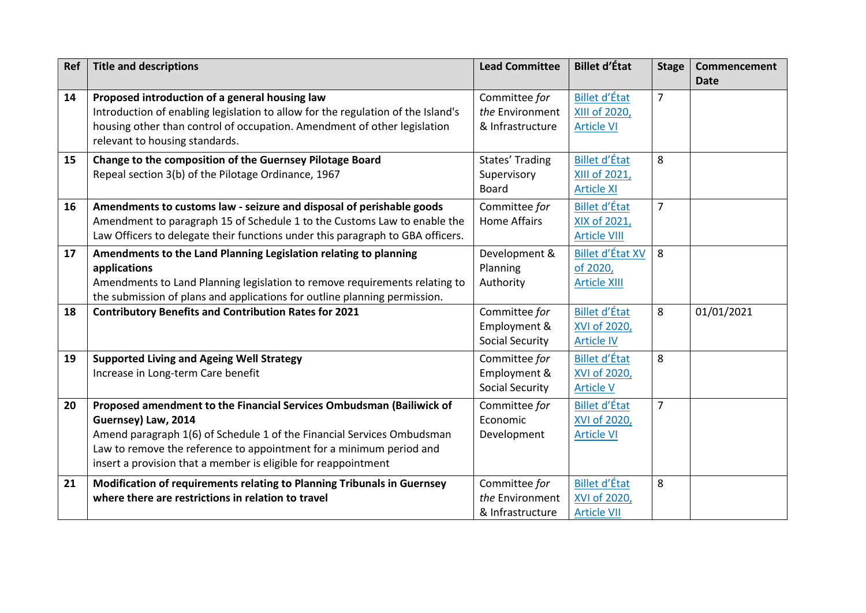| Ref | <b>Title and descriptions</b>                                                                                                                                                                                                                                                                                  | <b>Lead Committee</b>                                   | <b>Billet d'État</b>                                              | <b>Stage</b>   | Commencement<br><b>Date</b> |
|-----|----------------------------------------------------------------------------------------------------------------------------------------------------------------------------------------------------------------------------------------------------------------------------------------------------------------|---------------------------------------------------------|-------------------------------------------------------------------|----------------|-----------------------------|
| 14  | Proposed introduction of a general housing law<br>Introduction of enabling legislation to allow for the regulation of the Island's<br>housing other than control of occupation. Amendment of other legislation<br>relevant to housing standards.                                                               | Committee for<br>the Environment<br>& Infrastructure    | <b>Billet d'État</b><br><b>XIII of 2020,</b><br><b>Article VI</b> | $\overline{7}$ |                             |
| 15  | Change to the composition of the Guernsey Pilotage Board<br>Repeal section 3(b) of the Pilotage Ordinance, 1967                                                                                                                                                                                                | States' Trading<br>Supervisory<br>Board                 | <b>Billet d'État</b><br>XIII of 2021,<br><b>Article XI</b>        | 8              |                             |
| 16  | Amendments to customs law - seizure and disposal of perishable goods<br>Amendment to paragraph 15 of Schedule 1 to the Customs Law to enable the<br>Law Officers to delegate their functions under this paragraph to GBA officers.                                                                             | Committee for<br><b>Home Affairs</b>                    | <b>Billet d'État</b><br>XIX of 2021,<br><b>Article VIII</b>       | $\overline{7}$ |                             |
| 17  | Amendments to the Land Planning Legislation relating to planning<br>applications<br>Amendments to Land Planning legislation to remove requirements relating to<br>the submission of plans and applications for outline planning permission.                                                                    | Development &<br>Planning<br>Authority                  | <b>Billet d'État XV</b><br>of 2020,<br><b>Article XIII</b>        | 8              |                             |
| 18  | <b>Contributory Benefits and Contribution Rates for 2021</b>                                                                                                                                                                                                                                                   | Committee for<br>Employment &<br><b>Social Security</b> | <b>Billet d'État</b><br>XVI of 2020,<br><b>Article IV</b>         | 8              | 01/01/2021                  |
| 19  | <b>Supported Living and Ageing Well Strategy</b><br>Increase in Long-term Care benefit                                                                                                                                                                                                                         | Committee for<br>Employment &<br><b>Social Security</b> | <b>Billet d'État</b><br>XVI of 2020,<br><b>Article V</b>          | 8              |                             |
| 20  | Proposed amendment to the Financial Services Ombudsman (Bailiwick of<br>Guernsey) Law, 2014<br>Amend paragraph 1(6) of Schedule 1 of the Financial Services Ombudsman<br>Law to remove the reference to appointment for a minimum period and<br>insert a provision that a member is eligible for reappointment | Committee for<br>Economic<br>Development                | <b>Billet d'État</b><br>XVI of 2020,<br><b>Article VI</b>         | $\overline{7}$ |                             |
| 21  | Modification of requirements relating to Planning Tribunals in Guernsey<br>where there are restrictions in relation to travel                                                                                                                                                                                  | Committee for<br>the Environment<br>& Infrastructure    | <b>Billet d'État</b><br>XVI of 2020,<br><b>Article VII</b>        | 8              |                             |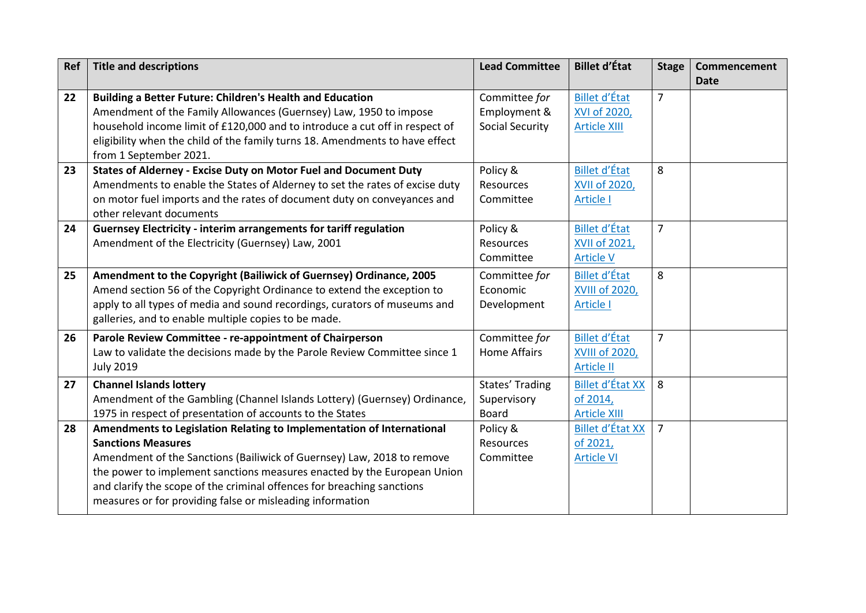| Ref | <b>Title and descriptions</b>                                                | <b>Lead Committee</b>  | <b>Billet d'État</b>    | <b>Stage</b>   | Commencement |
|-----|------------------------------------------------------------------------------|------------------------|-------------------------|----------------|--------------|
|     |                                                                              |                        |                         |                | <b>Date</b>  |
| 22  | Building a Better Future: Children's Health and Education                    | Committee for          | <b>Billet d'État</b>    | $\overline{7}$ |              |
|     | Amendment of the Family Allowances (Guernsey) Law, 1950 to impose            | Employment &           | XVI of 2020,            |                |              |
|     | household income limit of £120,000 and to introduce a cut off in respect of  | <b>Social Security</b> | <b>Article XIII</b>     |                |              |
|     | eligibility when the child of the family turns 18. Amendments to have effect |                        |                         |                |              |
|     | from 1 September 2021.                                                       |                        |                         |                |              |
| 23  | States of Alderney - Excise Duty on Motor Fuel and Document Duty             | Policy &               | <b>Billet d'État</b>    | 8              |              |
|     | Amendments to enable the States of Alderney to set the rates of excise duty  | Resources              | <b>XVII of 2020,</b>    |                |              |
|     | on motor fuel imports and the rates of document duty on conveyances and      | Committee              | <b>Article I</b>        |                |              |
|     | other relevant documents                                                     |                        |                         |                |              |
| 24  | Guernsey Electricity - interim arrangements for tariff regulation            | Policy &               | <b>Billet d'État</b>    | $\overline{7}$ |              |
|     | Amendment of the Electricity (Guernsey) Law, 2001                            | Resources              | <b>XVII of 2021,</b>    |                |              |
|     |                                                                              | Committee              | <b>Article V</b>        |                |              |
| 25  | Amendment to the Copyright (Bailiwick of Guernsey) Ordinance, 2005           | Committee for          | <b>Billet d'État</b>    | 8              |              |
|     | Amend section 56 of the Copyright Ordinance to extend the exception to       | Economic               | <b>XVIII of 2020,</b>   |                |              |
|     | apply to all types of media and sound recordings, curators of museums and    | Development            | <b>Article I</b>        |                |              |
|     | galleries, and to enable multiple copies to be made.                         |                        |                         |                |              |
| 26  | Parole Review Committee - re-appointment of Chairperson                      | Committee for          | <b>Billet d'État</b>    | $\overline{7}$ |              |
|     | Law to validate the decisions made by the Parole Review Committee since 1    | <b>Home Affairs</b>    | <b>XVIII of 2020,</b>   |                |              |
|     | <b>July 2019</b>                                                             |                        | <b>Article II</b>       |                |              |
| 27  | <b>Channel Islands lottery</b>                                               | States' Trading        | <b>Billet d'État XX</b> | 8              |              |
|     | Amendment of the Gambling (Channel Islands Lottery) (Guernsey) Ordinance,    | Supervisory            | of 2014,                |                |              |
|     | 1975 in respect of presentation of accounts to the States                    | <b>Board</b>           | <b>Article XIII</b>     |                |              |
| 28  | Amendments to Legislation Relating to Implementation of International        | Policy &               | <b>Billet d'État XX</b> | $\overline{7}$ |              |
|     | <b>Sanctions Measures</b>                                                    | Resources              | of 2021,                |                |              |
|     | Amendment of the Sanctions (Bailiwick of Guernsey) Law, 2018 to remove       | Committee              | <b>Article VI</b>       |                |              |
|     | the power to implement sanctions measures enacted by the European Union      |                        |                         |                |              |
|     | and clarify the scope of the criminal offences for breaching sanctions       |                        |                         |                |              |
|     | measures or for providing false or misleading information                    |                        |                         |                |              |
|     |                                                                              |                        |                         |                |              |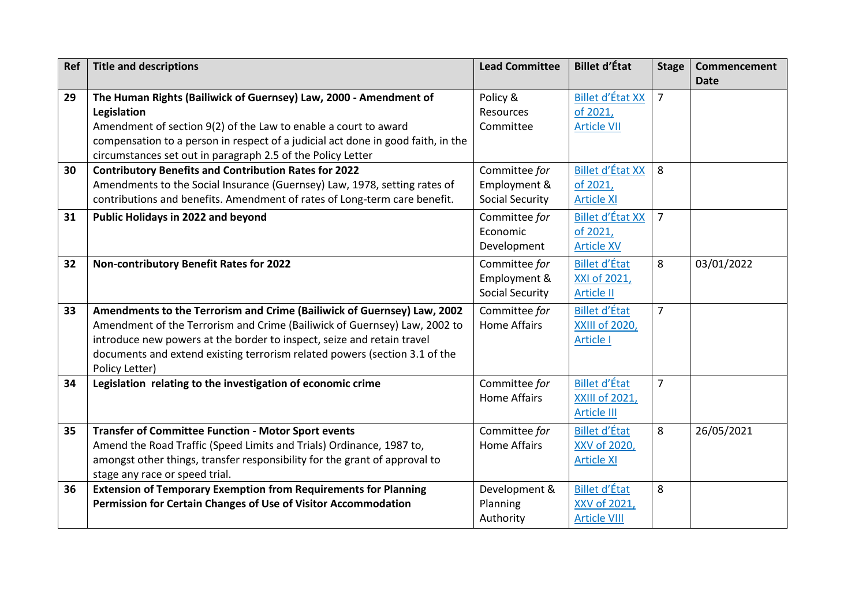| <b>Ref</b> | <b>Title and descriptions</b>                                                    | <b>Lead Committee</b>  | <b>Billet d'État</b>    | <b>Stage</b>   | Commencement<br><b>Date</b> |
|------------|----------------------------------------------------------------------------------|------------------------|-------------------------|----------------|-----------------------------|
| 29         | The Human Rights (Bailiwick of Guernsey) Law, 2000 - Amendment of                | Policy &               | <b>Billet d'État XX</b> | $\overline{7}$ |                             |
|            | Legislation                                                                      | <b>Resources</b>       | of 2021,                |                |                             |
|            | Amendment of section 9(2) of the Law to enable a court to award                  | Committee              | <b>Article VII</b>      |                |                             |
|            | compensation to a person in respect of a judicial act done in good faith, in the |                        |                         |                |                             |
|            | circumstances set out in paragraph 2.5 of the Policy Letter                      |                        |                         |                |                             |
| 30         | <b>Contributory Benefits and Contribution Rates for 2022</b>                     | Committee for          | <b>Billet d'État XX</b> | 8              |                             |
|            | Amendments to the Social Insurance (Guernsey) Law, 1978, setting rates of        | Employment &           | of 2021,                |                |                             |
|            | contributions and benefits. Amendment of rates of Long-term care benefit.        | <b>Social Security</b> | <b>Article XI</b>       |                |                             |
| 31         | Public Holidays in 2022 and beyond                                               | Committee for          | <b>Billet d'État XX</b> | $\overline{7}$ |                             |
|            |                                                                                  | Economic               | of 2021,                |                |                             |
|            |                                                                                  | Development            | <b>Article XV</b>       |                |                             |
| 32         | Non-contributory Benefit Rates for 2022                                          | Committee for          | <b>Billet d'État</b>    | 8              | 03/01/2022                  |
|            |                                                                                  | Employment &           | XXI of 2021,            |                |                             |
|            |                                                                                  | <b>Social Security</b> | <b>Article II</b>       |                |                             |
| 33         | Amendments to the Terrorism and Crime (Bailiwick of Guernsey) Law, 2002          | Committee for          | <b>Billet d'État</b>    | $\overline{7}$ |                             |
|            | Amendment of the Terrorism and Crime (Bailiwick of Guernsey) Law, 2002 to        | <b>Home Affairs</b>    | <b>XXIII of 2020,</b>   |                |                             |
|            | introduce new powers at the border to inspect, seize and retain travel           |                        | <b>Article I</b>        |                |                             |
|            | documents and extend existing terrorism related powers (section 3.1 of the       |                        |                         |                |                             |
|            | Policy Letter)                                                                   |                        |                         |                |                             |
| 34         | Legislation relating to the investigation of economic crime                      | Committee for          | <b>Billet d'État</b>    | $\overline{7}$ |                             |
|            |                                                                                  | <b>Home Affairs</b>    | <b>XXIII of 2021,</b>   |                |                             |
|            |                                                                                  |                        | <b>Article III</b>      |                |                             |
| 35         | <b>Transfer of Committee Function - Motor Sport events</b>                       | Committee for          | <b>Billet d'État</b>    | 8              | 26/05/2021                  |
|            | Amend the Road Traffic (Speed Limits and Trials) Ordinance, 1987 to,             | <b>Home Affairs</b>    | XXV of 2020,            |                |                             |
|            | amongst other things, transfer responsibility for the grant of approval to       |                        | <b>Article XI</b>       |                |                             |
|            | stage any race or speed trial.                                                   |                        |                         |                |                             |
| 36         | <b>Extension of Temporary Exemption from Requirements for Planning</b>           | Development &          | <b>Billet d'État</b>    | 8              |                             |
|            | Permission for Certain Changes of Use of Visitor Accommodation                   | Planning               | XXV of 2021,            |                |                             |
|            |                                                                                  | Authority              | <b>Article VIII</b>     |                |                             |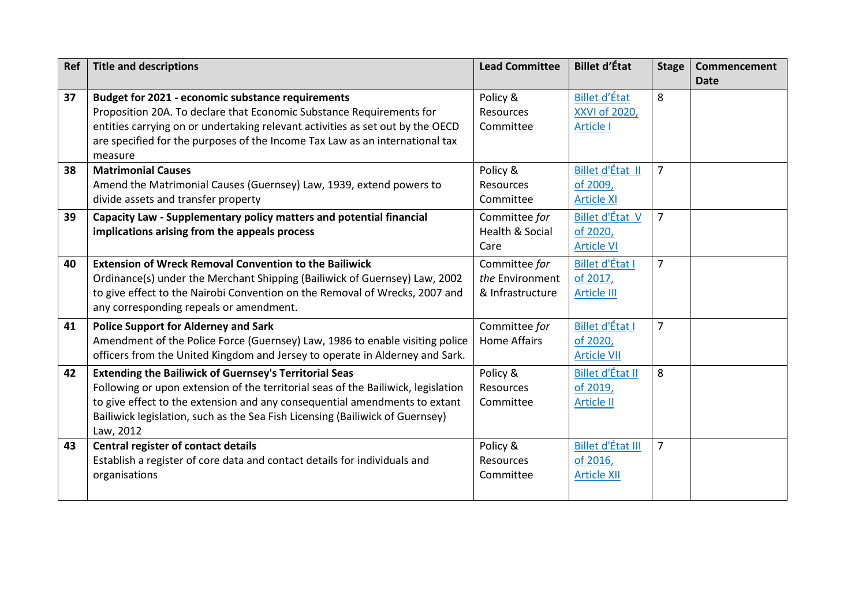| Ref | <b>Title and descriptions</b>                                                     | <b>Lead Committee</b>      | <b>Billet d'État</b>     | <b>Stage</b>   | Commencement<br><b>Date</b> |
|-----|-----------------------------------------------------------------------------------|----------------------------|--------------------------|----------------|-----------------------------|
| 37  | <b>Budget for 2021 - economic substance requirements</b>                          | Policy &                   | <b>Billet d'État</b>     | 8              |                             |
|     | Proposition 20A. To declare that Economic Substance Requirements for              | Resources                  | XXVI of 2020,            |                |                             |
|     | entities carrying on or undertaking relevant activities as set out by the OECD    | Committee                  | <b>Article I</b>         |                |                             |
|     | are specified for the purposes of the Income Tax Law as an international tax      |                            |                          |                |                             |
|     | measure                                                                           |                            |                          |                |                             |
| 38  | <b>Matrimonial Causes</b>                                                         | Policy &                   | Billet d'État II         | $\overline{7}$ |                             |
|     | Amend the Matrimonial Causes (Guernsey) Law, 1939, extend powers to               | Resources                  | of 2009,                 |                |                             |
|     | divide assets and transfer property                                               | Committee                  | <b>Article XI</b>        |                |                             |
| 39  | Capacity Law - Supplementary policy matters and potential financial               | Committee for              | Billet d'État V          | $\overline{7}$ |                             |
|     | implications arising from the appeals process                                     | <b>Health &amp; Social</b> | of 2020,                 |                |                             |
|     |                                                                                   | Care                       | <b>Article VI</b>        |                |                             |
| 40  | <b>Extension of Wreck Removal Convention to the Bailiwick</b>                     | Committee for              | <b>Billet d'État I</b>   | $\overline{7}$ |                             |
|     | Ordinance(s) under the Merchant Shipping (Bailiwick of Guernsey) Law, 2002        | the Environment            | of 2017,                 |                |                             |
|     | to give effect to the Nairobi Convention on the Removal of Wrecks, 2007 and       | & Infrastructure           | <b>Article III</b>       |                |                             |
|     | any corresponding repeals or amendment.                                           |                            |                          |                |                             |
| 41  | <b>Police Support for Alderney and Sark</b>                                       | Committee for              | <b>Billet d'État I</b>   | $\overline{7}$ |                             |
|     | Amendment of the Police Force (Guernsey) Law, 1986 to enable visiting police      | <b>Home Affairs</b>        | of 2020,                 |                |                             |
|     | officers from the United Kingdom and Jersey to operate in Alderney and Sark.      |                            | <b>Article VII</b>       |                |                             |
| 42  | <b>Extending the Bailiwick of Guernsey's Territorial Seas</b>                     | Policy &                   | Billet d'État II         | 8              |                             |
|     | Following or upon extension of the territorial seas of the Bailiwick, legislation | <b>Resources</b>           | of 2019,                 |                |                             |
|     | to give effect to the extension and any consequential amendments to extant        | Committee                  | <b>Article II</b>        |                |                             |
|     | Bailiwick legislation, such as the Sea Fish Licensing (Bailiwick of Guernsey)     |                            |                          |                |                             |
|     | Law, 2012                                                                         |                            |                          |                |                             |
| 43  | <b>Central register of contact details</b>                                        | Policy &                   | <b>Billet d'État III</b> | $\overline{7}$ |                             |
|     | Establish a register of core data and contact details for individuals and         | <b>Resources</b>           | of 2016,                 |                |                             |
|     | organisations                                                                     | Committee                  | <b>Article XII</b>       |                |                             |
|     |                                                                                   |                            |                          |                |                             |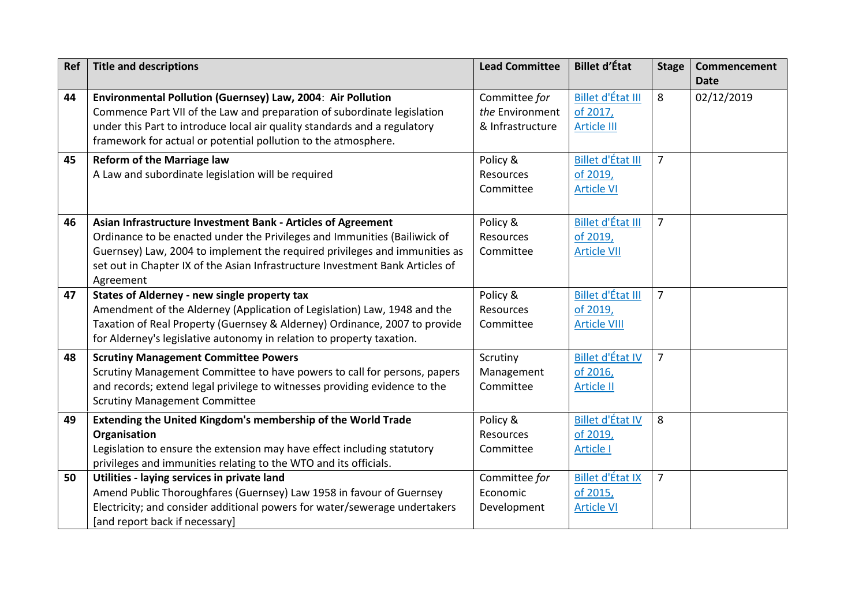| Ref | <b>Title and descriptions</b>                                                                                                                                                                                                                                                                                         | <b>Lead Committee</b>                                | <b>Billet d'État</b>                                    | <b>Stage</b>   | Commencement<br><b>Date</b> |
|-----|-----------------------------------------------------------------------------------------------------------------------------------------------------------------------------------------------------------------------------------------------------------------------------------------------------------------------|------------------------------------------------------|---------------------------------------------------------|----------------|-----------------------------|
| 44  | Environmental Pollution (Guernsey) Law, 2004: Air Pollution<br>Commence Part VII of the Law and preparation of subordinate legislation<br>under this Part to introduce local air quality standards and a regulatory<br>framework for actual or potential pollution to the atmosphere.                                 | Committee for<br>the Environment<br>& Infrastructure | Billet d'État III<br>of 2017,<br><b>Article III</b>     | 8              | 02/12/2019                  |
| 45  | <b>Reform of the Marriage law</b><br>A Law and subordinate legislation will be required                                                                                                                                                                                                                               | Policy &<br><b>Resources</b><br>Committee            | Billet d'État III<br>of 2019,<br>Article VI             | $\overline{7}$ |                             |
| 46  | Asian Infrastructure Investment Bank - Articles of Agreement<br>Ordinance to be enacted under the Privileges and Immunities (Bailiwick of<br>Guernsey) Law, 2004 to implement the required privileges and immunities as<br>set out in Chapter IX of the Asian Infrastructure Investment Bank Articles of<br>Agreement | Policy &<br>Resources<br>Committee                   | Billet d'État III<br>of 2019,<br><b>Article VII</b>     | $\overline{7}$ |                             |
| 47  | States of Alderney - new single property tax<br>Amendment of the Alderney (Application of Legislation) Law, 1948 and the<br>Taxation of Real Property (Guernsey & Alderney) Ordinance, 2007 to provide<br>for Alderney's legislative autonomy in relation to property taxation.                                       | Policy &<br>Resources<br>Committee                   | Billet d'État III<br>of 2019,<br><b>Article VIII</b>    | $\overline{7}$ |                             |
| 48  | <b>Scrutiny Management Committee Powers</b><br>Scrutiny Management Committee to have powers to call for persons, papers<br>and records; extend legal privilege to witnesses providing evidence to the<br><b>Scrutiny Management Committee</b>                                                                         | Scrutiny<br>Management<br>Committee                  | Billet d'État IV<br>of 2016,<br><b>Article II</b>       | $\overline{7}$ |                             |
| 49  | Extending the United Kingdom's membership of the World Trade<br>Organisation<br>Legislation to ensure the extension may have effect including statutory<br>privileges and immunities relating to the WTO and its officials.                                                                                           | Policy &<br>Resources<br>Committee                   | <b>Billet d'État IV</b><br>of 2019,<br><b>Article I</b> | 8              |                             |
| 50  | Utilities - laying services in private land<br>Amend Public Thoroughfares (Guernsey) Law 1958 in favour of Guernsey<br>Electricity; and consider additional powers for water/sewerage undertakers<br>[and report back if necessary]                                                                                   | Committee for<br>Economic<br>Development             | Billet d'État IX<br>of 2015,<br><b>Article VI</b>       | $\overline{7}$ |                             |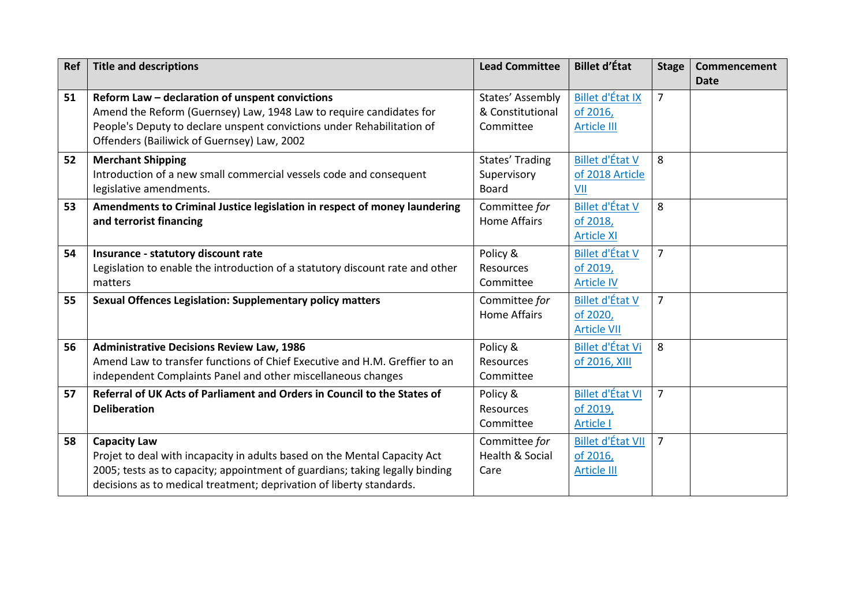| <b>Ref</b> | <b>Title and descriptions</b>                                                                                                                                                                                                                            | <b>Lead Committee</b>                             | <b>Billet d'État</b>                                       | <b>Stage</b>   | Commencement<br><b>Date</b> |
|------------|----------------------------------------------------------------------------------------------------------------------------------------------------------------------------------------------------------------------------------------------------------|---------------------------------------------------|------------------------------------------------------------|----------------|-----------------------------|
| 51         | Reform Law - declaration of unspent convictions<br>Amend the Reform (Guernsey) Law, 1948 Law to require candidates for<br>People's Deputy to declare unspent convictions under Rehabilitation of<br>Offenders (Bailiwick of Guernsey) Law, 2002          | States' Assembly<br>& Constitutional<br>Committee | <b>Billet d'État IX</b><br>of 2016,<br><b>Article III</b>  | $\overline{7}$ |                             |
| 52         | <b>Merchant Shipping</b><br>Introduction of a new small commercial vessels code and consequent<br>legislative amendments.                                                                                                                                | States' Trading<br>Supervisory<br><b>Board</b>    | Billet d'État V<br>of 2018 Article<br>VII                  | 8              |                             |
| 53         | Amendments to Criminal Justice legislation in respect of money laundering<br>and terrorist financing                                                                                                                                                     | Committee for<br><b>Home Affairs</b>              | <b>Billet d'État V</b><br>of 2018,<br><b>Article XI</b>    | 8              |                             |
| 54         | Insurance - statutory discount rate<br>Legislation to enable the introduction of a statutory discount rate and other<br>matters                                                                                                                          | Policy &<br>Resources<br>Committee                | <b>Billet d'État V</b><br>of 2019,<br><b>Article IV</b>    | $\overline{7}$ |                             |
| 55         | Sexual Offences Legislation: Supplementary policy matters                                                                                                                                                                                                | Committee for<br><b>Home Affairs</b>              | <b>Billet d'État V</b><br>of 2020,<br><b>Article VII</b>   | $\overline{7}$ |                             |
| 56         | <b>Administrative Decisions Review Law, 1986</b><br>Amend Law to transfer functions of Chief Executive and H.M. Greffier to an<br>independent Complaints Panel and other miscellaneous changes                                                           | Policy &<br><b>Resources</b><br>Committee         | Billet d'État Vi<br>of 2016, XIII                          | 8              |                             |
| 57         | Referral of UK Acts of Parliament and Orders in Council to the States of<br><b>Deliberation</b>                                                                                                                                                          | Policy &<br>Resources<br>Committee                | <b>Billet d'État VI</b><br>of 2019,<br><b>Article I</b>    | $\overline{7}$ |                             |
| 58         | <b>Capacity Law</b><br>Projet to deal with incapacity in adults based on the Mental Capacity Act<br>2005; tests as to capacity; appointment of guardians; taking legally binding<br>decisions as to medical treatment; deprivation of liberty standards. | Committee for<br>Health & Social<br>Care          | <b>Billet d'État VII</b><br>of 2016,<br><b>Article III</b> | $\overline{7}$ |                             |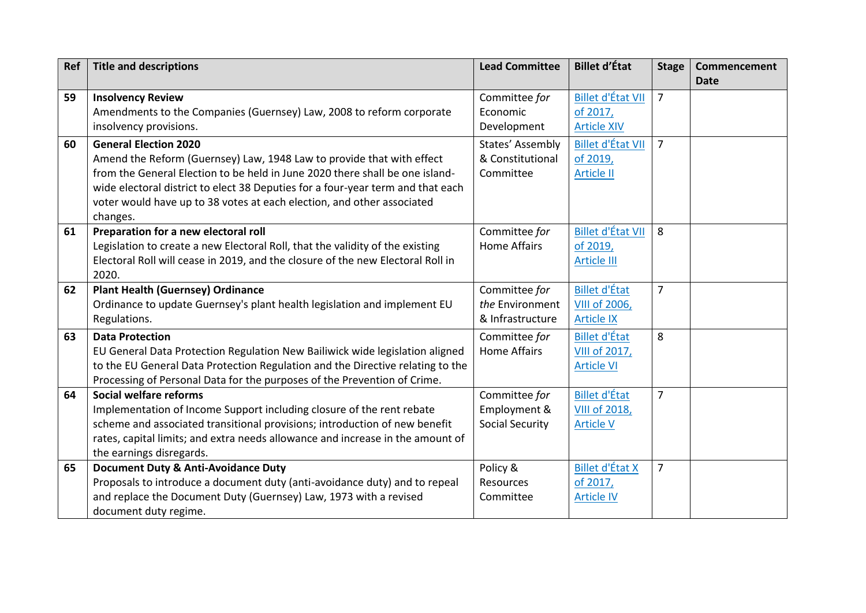| Ref | <b>Title and descriptions</b>                                                   | <b>Lead Committee</b>     | <b>Billet d'État</b>     | <b>Stage</b>   | Commencement<br><b>Date</b> |
|-----|---------------------------------------------------------------------------------|---------------------------|--------------------------|----------------|-----------------------------|
|     |                                                                                 |                           |                          |                |                             |
| 59  | <b>Insolvency Review</b>                                                        | Committee for<br>Economic | <b>Billet d'État VII</b> | $\overline{7}$ |                             |
|     | Amendments to the Companies (Guernsey) Law, 2008 to reform corporate            |                           | of 2017,                 |                |                             |
|     | insolvency provisions.                                                          | Development               | <b>Article XIV</b>       |                |                             |
| 60  | <b>General Election 2020</b>                                                    | States' Assembly          | <b>Billet d'État VII</b> | $\overline{7}$ |                             |
|     | Amend the Reform (Guernsey) Law, 1948 Law to provide that with effect           | & Constitutional          | of 2019,                 |                |                             |
|     | from the General Election to be held in June 2020 there shall be one island-    | Committee                 | <b>Article II</b>        |                |                             |
|     | wide electoral district to elect 38 Deputies for a four-year term and that each |                           |                          |                |                             |
|     | voter would have up to 38 votes at each election, and other associated          |                           |                          |                |                             |
|     | changes.                                                                        |                           |                          |                |                             |
| 61  | Preparation for a new electoral roll                                            | Committee for             | <b>Billet d'État VII</b> | 8              |                             |
|     | Legislation to create a new Electoral Roll, that the validity of the existing   | <b>Home Affairs</b>       | of 2019,                 |                |                             |
|     | Electoral Roll will cease in 2019, and the closure of the new Electoral Roll in |                           | <b>Article III</b>       |                |                             |
|     | 2020.                                                                           |                           |                          |                |                             |
| 62  | <b>Plant Health (Guernsey) Ordinance</b>                                        | Committee for             | <b>Billet d'État</b>     | $\overline{7}$ |                             |
|     | Ordinance to update Guernsey's plant health legislation and implement EU        | the Environment           | <b>VIII of 2006,</b>     |                |                             |
|     | Regulations.                                                                    | & Infrastructure          | <b>Article IX</b>        |                |                             |
| 63  | <b>Data Protection</b>                                                          | Committee for             | <b>Billet d'État</b>     | 8              |                             |
|     | EU General Data Protection Regulation New Bailiwick wide legislation aligned    | <b>Home Affairs</b>       | VIII of 2017,            |                |                             |
|     | to the EU General Data Protection Regulation and the Directive relating to the  |                           | <b>Article VI</b>        |                |                             |
|     | Processing of Personal Data for the purposes of the Prevention of Crime.        |                           |                          |                |                             |
| 64  | Social welfare reforms                                                          | Committee for             | <b>Billet d'État</b>     | 7              |                             |
|     | Implementation of Income Support including closure of the rent rebate           | Employment &              | <b>VIII of 2018,</b>     |                |                             |
|     | scheme and associated transitional provisions; introduction of new benefit      | <b>Social Security</b>    | <b>Article V</b>         |                |                             |
|     | rates, capital limits; and extra needs allowance and increase in the amount of  |                           |                          |                |                             |
|     | the earnings disregards.                                                        |                           |                          |                |                             |
| 65  | <b>Document Duty &amp; Anti-Avoidance Duty</b>                                  | Policy &                  | <b>Billet d'État X</b>   | $\overline{7}$ |                             |
|     | Proposals to introduce a document duty (anti-avoidance duty) and to repeal      | Resources                 | of 2017,                 |                |                             |
|     | and replace the Document Duty (Guernsey) Law, 1973 with a revised               | Committee                 | <b>Article IV</b>        |                |                             |
|     | document duty regime.                                                           |                           |                          |                |                             |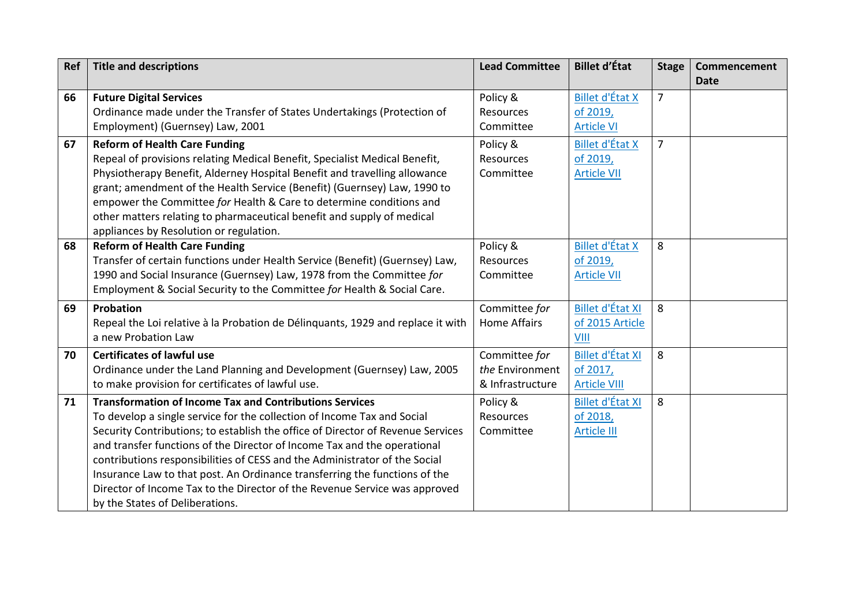| Ref | <b>Title and descriptions</b>                                                   | <b>Lead Committee</b> | <b>Billet d'État</b>    | <b>Stage</b>   | Commencement<br><b>Date</b> |
|-----|---------------------------------------------------------------------------------|-----------------------|-------------------------|----------------|-----------------------------|
| 66  | <b>Future Digital Services</b>                                                  | Policy &              | <b>Billet d'État X</b>  | $\overline{7}$ |                             |
|     | Ordinance made under the Transfer of States Undertakings (Protection of         | <b>Resources</b>      | of 2019,                |                |                             |
|     | Employment) (Guernsey) Law, 2001                                                | Committee             | <b>Article VI</b>       |                |                             |
| 67  | <b>Reform of Health Care Funding</b>                                            | Policy &              | <b>Billet d'État X</b>  | $\overline{7}$ |                             |
|     | Repeal of provisions relating Medical Benefit, Specialist Medical Benefit,      | <b>Resources</b>      | of 2019,                |                |                             |
|     | Physiotherapy Benefit, Alderney Hospital Benefit and travelling allowance       | Committee             | <b>Article VII</b>      |                |                             |
|     | grant; amendment of the Health Service (Benefit) (Guernsey) Law, 1990 to        |                       |                         |                |                             |
|     | empower the Committee for Health & Care to determine conditions and             |                       |                         |                |                             |
|     | other matters relating to pharmaceutical benefit and supply of medical          |                       |                         |                |                             |
|     | appliances by Resolution or regulation.                                         |                       |                         |                |                             |
| 68  | <b>Reform of Health Care Funding</b>                                            | Policy &              | <b>Billet d'État X</b>  | 8              |                             |
|     | Transfer of certain functions under Health Service (Benefit) (Guernsey) Law,    | Resources             | of 2019,                |                |                             |
|     | 1990 and Social Insurance (Guernsey) Law, 1978 from the Committee for           | Committee             | <b>Article VII</b>      |                |                             |
|     | Employment & Social Security to the Committee for Health & Social Care.         |                       |                         |                |                             |
| 69  | Probation                                                                       | Committee for         | <b>Billet d'État XI</b> | 8              |                             |
|     | Repeal the Loi relative à la Probation de Délinguants, 1929 and replace it with | <b>Home Affairs</b>   | of 2015 Article         |                |                             |
|     | a new Probation Law                                                             |                       | VIII                    |                |                             |
| 70  | <b>Certificates of lawful use</b>                                               | Committee for         | <b>Billet d'État XI</b> | 8              |                             |
|     | Ordinance under the Land Planning and Development (Guernsey) Law, 2005          | the Environment       | of 2017,                |                |                             |
|     | to make provision for certificates of lawful use.                               | & Infrastructure      | <b>Article VIII</b>     |                |                             |
| 71  | <b>Transformation of Income Tax and Contributions Services</b>                  | Policy &              | <b>Billet d'État XI</b> | 8              |                             |
|     | To develop a single service for the collection of Income Tax and Social         | <b>Resources</b>      | of 2018,                |                |                             |
|     | Security Contributions; to establish the office of Director of Revenue Services | Committee             | <b>Article III</b>      |                |                             |
|     | and transfer functions of the Director of Income Tax and the operational        |                       |                         |                |                             |
|     | contributions responsibilities of CESS and the Administrator of the Social      |                       |                         |                |                             |
|     | Insurance Law to that post. An Ordinance transferring the functions of the      |                       |                         |                |                             |
|     | Director of Income Tax to the Director of the Revenue Service was approved      |                       |                         |                |                             |
|     | by the States of Deliberations.                                                 |                       |                         |                |                             |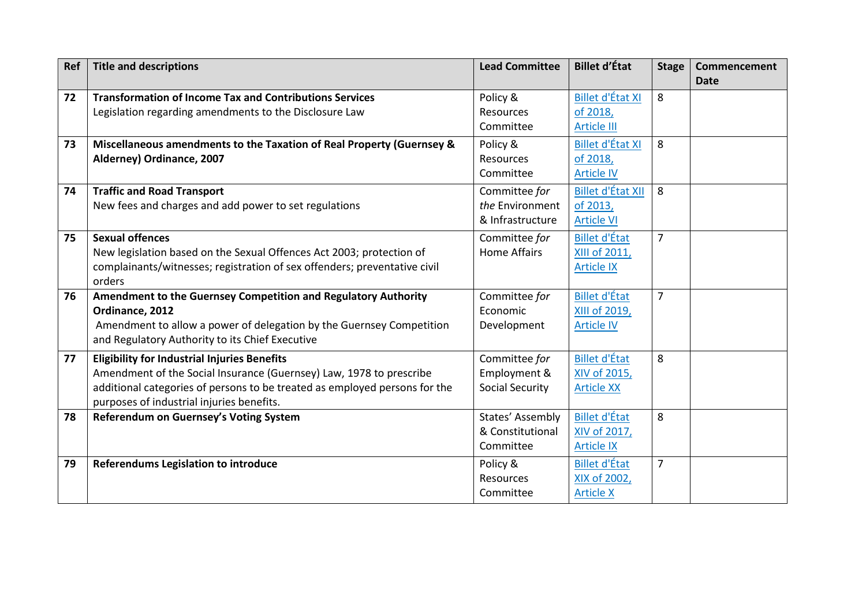| Ref | <b>Title and descriptions</b>                                                                                                                                                                                                                         | <b>Lead Committee</b>                                   | <b>Billet d'État</b>                                       | <b>Stage</b>   | Commencement<br><b>Date</b> |
|-----|-------------------------------------------------------------------------------------------------------------------------------------------------------------------------------------------------------------------------------------------------------|---------------------------------------------------------|------------------------------------------------------------|----------------|-----------------------------|
| 72  | <b>Transformation of Income Tax and Contributions Services</b><br>Legislation regarding amendments to the Disclosure Law                                                                                                                              | Policy &<br>Resources<br>Committee                      | <b>Billet d'État XI</b><br>of 2018,<br><b>Article III</b>  | 8              |                             |
| 73  | Miscellaneous amendments to the Taxation of Real Property (Guernsey &<br>Alderney) Ordinance, 2007                                                                                                                                                    | Policy &<br><b>Resources</b><br>Committee               | <b>Billet d'État XI</b><br>of 2018,<br><b>Article IV</b>   | 8              |                             |
| 74  | <b>Traffic and Road Transport</b><br>New fees and charges and add power to set regulations                                                                                                                                                            | Committee for<br>the Environment<br>& Infrastructure    | <b>Billet d'État XII</b><br>of 2013,<br><b>Article VI</b>  | 8              |                             |
| 75  | <b>Sexual offences</b><br>New legislation based on the Sexual Offences Act 2003; protection of<br>complainants/witnesses; registration of sex offenders; preventative civil<br>orders                                                                 | Committee for<br><b>Home Affairs</b>                    | <b>Billet d'État</b><br>XIII of 2011,<br>Article IX        | $\overline{7}$ |                             |
| 76  | Amendment to the Guernsey Competition and Regulatory Authority<br>Ordinance, 2012<br>Amendment to allow a power of delegation by the Guernsey Competition<br>and Regulatory Authority to its Chief Executive                                          | Committee for<br>Economic<br>Development                | <b>Billet d'État</b><br>XIII of 2019,<br><b>Article IV</b> | $\overline{7}$ |                             |
| 77  | <b>Eligibility for Industrial Injuries Benefits</b><br>Amendment of the Social Insurance (Guernsey) Law, 1978 to prescribe<br>additional categories of persons to be treated as employed persons for the<br>purposes of industrial injuries benefits. | Committee for<br>Employment &<br><b>Social Security</b> | <b>Billet d'État</b><br>XIV of 2015,<br><b>Article XX</b>  | 8              |                             |
| 78  | Referendum on Guernsey's Voting System                                                                                                                                                                                                                | States' Assembly<br>& Constitutional<br>Committee       | <b>Billet d'État</b><br>XIV of 2017,<br><b>Article IX</b>  | 8              |                             |
| 79  | <b>Referendums Legislation to introduce</b>                                                                                                                                                                                                           | Policy &<br>Resources<br>Committee                      | <b>Billet d'État</b><br>XIX of 2002,<br><b>Article X</b>   | $\overline{7}$ |                             |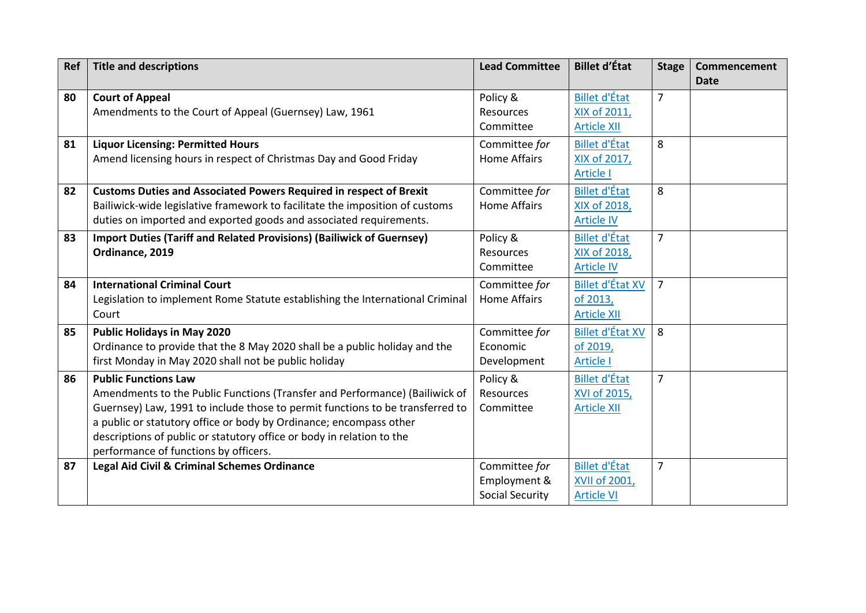| Ref | <b>Title and descriptions</b>                                                                                                                      | <b>Lead Committee</b>                  | <b>Billet d'État</b>                      | <b>Stage</b>   | Commencement<br><b>Date</b> |
|-----|----------------------------------------------------------------------------------------------------------------------------------------------------|----------------------------------------|-------------------------------------------|----------------|-----------------------------|
| 80  | <b>Court of Appeal</b><br>Amendments to the Court of Appeal (Guernsey) Law, 1961                                                                   | Policy &<br>Resources                  | <b>Billet d'État</b><br>XIX of 2011,      | $\overline{7}$ |                             |
|     |                                                                                                                                                    | Committee                              | <b>Article XII</b>                        |                |                             |
| 81  | <b>Liquor Licensing: Permitted Hours</b>                                                                                                           | Committee for                          | <b>Billet d'État</b>                      | 8              |                             |
|     | Amend licensing hours in respect of Christmas Day and Good Friday                                                                                  | <b>Home Affairs</b>                    | XIX of 2017,<br><b>Article I</b>          |                |                             |
| 82  | <b>Customs Duties and Associated Powers Required in respect of Brexit</b>                                                                          | Committee for                          | <b>Billet d'État</b>                      | 8              |                             |
|     | Bailiwick-wide legislative framework to facilitate the imposition of customs                                                                       | <b>Home Affairs</b>                    | XIX of 2018,                              |                |                             |
| 83  | duties on imported and exported goods and associated requirements.<br><b>Import Duties (Tariff and Related Provisions) (Bailiwick of Guernsey)</b> |                                        | <b>Article IV</b><br><b>Billet d'État</b> | $\overline{7}$ |                             |
|     | Ordinance, 2019                                                                                                                                    | Policy &<br>Resources                  | XIX of 2018,                              |                |                             |
|     |                                                                                                                                                    | Committee                              | <b>Article IV</b>                         |                |                             |
| 84  | <b>International Criminal Court</b>                                                                                                                | Committee for                          | <b>Billet d'État XV</b>                   | $\overline{7}$ |                             |
|     | Legislation to implement Rome Statute establishing the International Criminal                                                                      | <b>Home Affairs</b>                    | of 2013,                                  |                |                             |
|     | Court                                                                                                                                              |                                        | <b>Article XII</b>                        |                |                             |
| 85  | <b>Public Holidays in May 2020</b>                                                                                                                 | Committee for                          | <b>Billet d'État XV</b>                   | 8              |                             |
|     | Ordinance to provide that the 8 May 2020 shall be a public holiday and the<br>first Monday in May 2020 shall not be public holiday                 | Economic<br>Development                | of 2019,<br><b>Article I</b>              |                |                             |
| 86  | <b>Public Functions Law</b>                                                                                                                        | Policy &                               | <b>Billet d'État</b>                      | $\overline{7}$ |                             |
|     | Amendments to the Public Functions (Transfer and Performance) (Bailiwick of                                                                        | Resources                              | XVI of 2015,                              |                |                             |
|     | Guernsey) Law, 1991 to include those to permit functions to be transferred to                                                                      | Committee                              | <b>Article XII</b>                        |                |                             |
|     | a public or statutory office or body by Ordinance; encompass other                                                                                 |                                        |                                           |                |                             |
|     | descriptions of public or statutory office or body in relation to the                                                                              |                                        |                                           |                |                             |
|     | performance of functions by officers.                                                                                                              |                                        |                                           |                |                             |
| 87  | Legal Aid Civil & Criminal Schemes Ordinance                                                                                                       | Committee for                          | <b>Billet d'État</b>                      | $\overline{7}$ |                             |
|     |                                                                                                                                                    | Employment &<br><b>Social Security</b> | <b>XVII of 2001,</b><br><b>Article VI</b> |                |                             |
|     |                                                                                                                                                    |                                        |                                           |                |                             |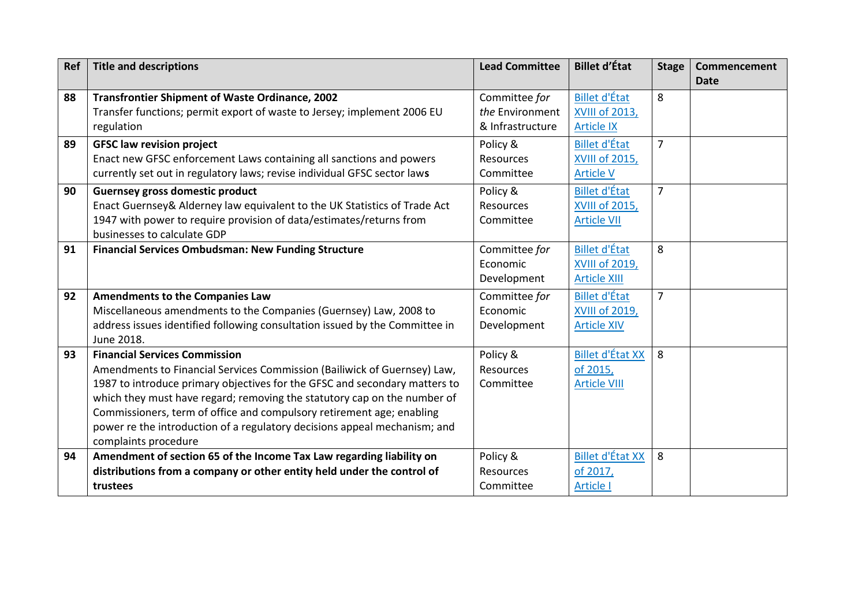| Ref | <b>Title and descriptions</b>                                               | <b>Lead Committee</b> | <b>Billet d'État</b>    | <b>Stage</b>   | <b>Commencement</b><br><b>Date</b> |
|-----|-----------------------------------------------------------------------------|-----------------------|-------------------------|----------------|------------------------------------|
| 88  | <b>Transfrontier Shipment of Waste Ordinance, 2002</b>                      | Committee for         | <b>Billet d'État</b>    | 8              |                                    |
|     | Transfer functions; permit export of waste to Jersey; implement 2006 EU     | the Environment       | <b>XVIII of 2013,</b>   |                |                                    |
|     | regulation                                                                  | & Infrastructure      | <b>Article IX</b>       |                |                                    |
| 89  | <b>GFSC law revision project</b>                                            | Policy &              | <b>Billet d'État</b>    | $\overline{7}$ |                                    |
|     | Enact new GFSC enforcement Laws containing all sanctions and powers         | <b>Resources</b>      | <b>XVIII of 2015,</b>   |                |                                    |
|     | currently set out in regulatory laws; revise individual GFSC sector laws    | Committee             | <b>Article V</b>        |                |                                    |
| 90  | <b>Guernsey gross domestic product</b>                                      | Policy &              | <b>Billet d'État</b>    | $\overline{7}$ |                                    |
|     | Enact Guernsey& Alderney law equivalent to the UK Statistics of Trade Act   | <b>Resources</b>      | <b>XVIII of 2015,</b>   |                |                                    |
|     | 1947 with power to require provision of data/estimates/returns from         | Committee             | <b>Article VII</b>      |                |                                    |
|     | businesses to calculate GDP                                                 |                       |                         |                |                                    |
| 91  | <b>Financial Services Ombudsman: New Funding Structure</b>                  | Committee for         | <b>Billet d'État</b>    | 8              |                                    |
|     |                                                                             | Economic              | <b>XVIII of 2019,</b>   |                |                                    |
|     |                                                                             | Development           | <b>Article XIII</b>     |                |                                    |
| 92  | <b>Amendments to the Companies Law</b>                                      | Committee for         | <b>Billet d'État</b>    | $\overline{7}$ |                                    |
|     | Miscellaneous amendments to the Companies (Guernsey) Law, 2008 to           | Economic              | <b>XVIII of 2019,</b>   |                |                                    |
|     | address issues identified following consultation issued by the Committee in | Development           | <b>Article XIV</b>      |                |                                    |
|     | June 2018.                                                                  |                       |                         |                |                                    |
| 93  | <b>Financial Services Commission</b>                                        | Policy &              | <b>Billet d'État XX</b> | 8              |                                    |
|     | Amendments to Financial Services Commission (Bailiwick of Guernsey) Law,    | Resources             | of 2015,                |                |                                    |
|     | 1987 to introduce primary objectives for the GFSC and secondary matters to  | Committee             | <b>Article VIII</b>     |                |                                    |
|     | which they must have regard; removing the statutory cap on the number of    |                       |                         |                |                                    |
|     | Commissioners, term of office and compulsory retirement age; enabling       |                       |                         |                |                                    |
|     | power re the introduction of a regulatory decisions appeal mechanism; and   |                       |                         |                |                                    |
|     | complaints procedure                                                        |                       |                         |                |                                    |
| 94  | Amendment of section 65 of the Income Tax Law regarding liability on        | Policy &              | <b>Billet d'État XX</b> | 8              |                                    |
|     | distributions from a company or other entity held under the control of      | <b>Resources</b>      | of 2017,                |                |                                    |
|     | trustees                                                                    | Committee             | <b>Article I</b>        |                |                                    |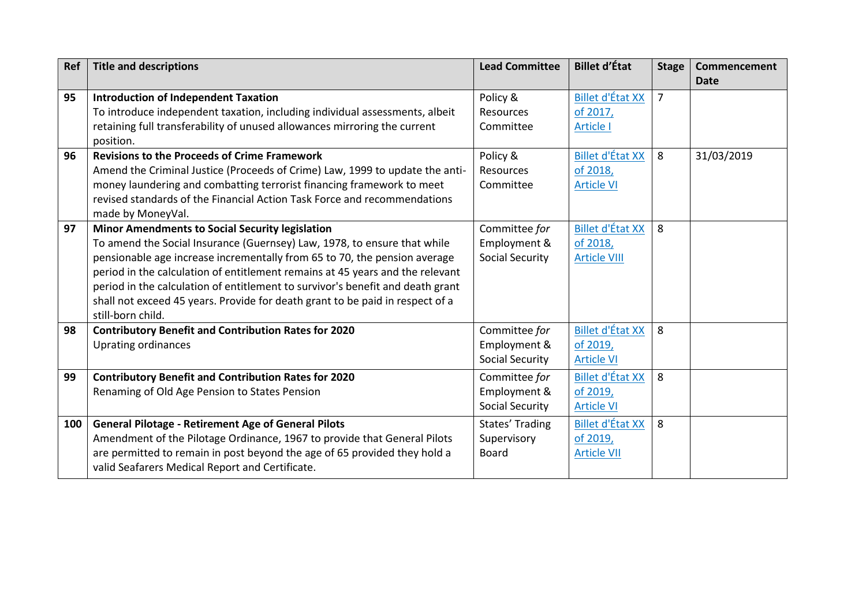| <b>Ref</b> | <b>Title and descriptions</b>                                                  | <b>Lead Committee</b>  | <b>Billet d'État</b>    | <b>Stage</b>   | Commencement<br><b>Date</b> |
|------------|--------------------------------------------------------------------------------|------------------------|-------------------------|----------------|-----------------------------|
| 95         | <b>Introduction of Independent Taxation</b>                                    | Policy &               | <b>Billet d'État XX</b> | $\overline{7}$ |                             |
|            | To introduce independent taxation, including individual assessments, albeit    | <b>Resources</b>       | of 2017,                |                |                             |
|            | retaining full transferability of unused allowances mirroring the current      | Committee              | <b>Article I</b>        |                |                             |
|            | position.                                                                      |                        |                         |                |                             |
| 96         | <b>Revisions to the Proceeds of Crime Framework</b>                            | Policy &               | <b>Billet d'État XX</b> | 8              | 31/03/2019                  |
|            | Amend the Criminal Justice (Proceeds of Crime) Law, 1999 to update the anti-   | <b>Resources</b>       | of 2018,                |                |                             |
|            | money laundering and combatting terrorist financing framework to meet          | Committee              | <b>Article VI</b>       |                |                             |
|            | revised standards of the Financial Action Task Force and recommendations       |                        |                         |                |                             |
|            | made by MoneyVal.                                                              |                        |                         |                |                             |
| 97         | <b>Minor Amendments to Social Security legislation</b>                         | Committee for          | <b>Billet d'État XX</b> | 8              |                             |
|            | To amend the Social Insurance (Guernsey) Law, 1978, to ensure that while       | Employment &           | of 2018,                |                |                             |
|            | pensionable age increase incrementally from 65 to 70, the pension average      | <b>Social Security</b> | <b>Article VIII</b>     |                |                             |
|            | period in the calculation of entitlement remains at 45 years and the relevant  |                        |                         |                |                             |
|            | period in the calculation of entitlement to survivor's benefit and death grant |                        |                         |                |                             |
|            | shall not exceed 45 years. Provide for death grant to be paid in respect of a  |                        |                         |                |                             |
|            | still-born child.                                                              |                        |                         |                |                             |
| 98         | <b>Contributory Benefit and Contribution Rates for 2020</b>                    | Committee for          | <b>Billet d'État XX</b> | 8              |                             |
|            | <b>Uprating ordinances</b>                                                     | Employment &           | of 2019,                |                |                             |
|            |                                                                                | <b>Social Security</b> | <b>Article VI</b>       |                |                             |
| 99         | <b>Contributory Benefit and Contribution Rates for 2020</b>                    | Committee for          | <b>Billet d'État XX</b> | 8              |                             |
|            | Renaming of Old Age Pension to States Pension                                  | Employment &           | of 2019,                |                |                             |
|            |                                                                                | Social Security        | <b>Article VI</b>       |                |                             |
| 100        | <b>General Pilotage - Retirement Age of General Pilots</b>                     | States' Trading        | <b>Billet d'État XX</b> | 8              |                             |
|            | Amendment of the Pilotage Ordinance, 1967 to provide that General Pilots       | Supervisory            | of 2019,                |                |                             |
|            | are permitted to remain in post beyond the age of 65 provided they hold a      | Board                  | <b>Article VII</b>      |                |                             |
|            | valid Seafarers Medical Report and Certificate.                                |                        |                         |                |                             |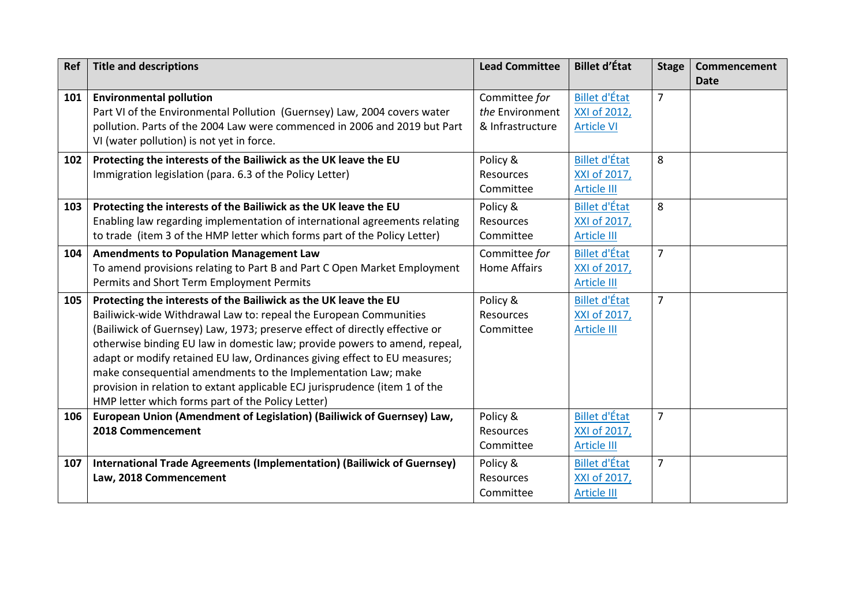| Ref | <b>Title and descriptions</b>                                               | <b>Lead Committee</b> | <b>Billet d'État</b> | <b>Stage</b>   | Commencement<br><b>Date</b> |
|-----|-----------------------------------------------------------------------------|-----------------------|----------------------|----------------|-----------------------------|
| 101 | <b>Environmental pollution</b>                                              | Committee for         | <b>Billet d'État</b> | $\overline{7}$ |                             |
|     | Part VI of the Environmental Pollution (Guernsey) Law, 2004 covers water    | the Environment       | XXI of 2012,         |                |                             |
|     | pollution. Parts of the 2004 Law were commenced in 2006 and 2019 but Part   | & Infrastructure      | <b>Article VI</b>    |                |                             |
|     | VI (water pollution) is not yet in force.                                   |                       |                      |                |                             |
| 102 | Protecting the interests of the Bailiwick as the UK leave the EU            | Policy &              | <b>Billet d'État</b> | 8              |                             |
|     | Immigration legislation (para. 6.3 of the Policy Letter)                    | Resources             | XXI of 2017,         |                |                             |
|     |                                                                             | Committee             | <b>Article III</b>   |                |                             |
| 103 | Protecting the interests of the Bailiwick as the UK leave the EU            | Policy &              | <b>Billet d'État</b> | 8              |                             |
|     | Enabling law regarding implementation of international agreements relating  | Resources             | XXI of 2017,         |                |                             |
|     | to trade (item 3 of the HMP letter which forms part of the Policy Letter)   | Committee             | <b>Article III</b>   |                |                             |
| 104 | <b>Amendments to Population Management Law</b>                              | Committee for         | <b>Billet d'État</b> | $\overline{7}$ |                             |
|     | To amend provisions relating to Part B and Part C Open Market Employment    | <b>Home Affairs</b>   | XXI of 2017,         |                |                             |
|     | Permits and Short Term Employment Permits                                   |                       | <b>Article III</b>   |                |                             |
| 105 | Protecting the interests of the Bailiwick as the UK leave the EU            | Policy &              | <b>Billet d'État</b> | $\overline{7}$ |                             |
|     | Bailiwick-wide Withdrawal Law to: repeal the European Communities           | <b>Resources</b>      | XXI of 2017,         |                |                             |
|     | (Bailiwick of Guernsey) Law, 1973; preserve effect of directly effective or | Committee             | <b>Article III</b>   |                |                             |
|     | otherwise binding EU law in domestic law; provide powers to amend, repeal,  |                       |                      |                |                             |
|     | adapt or modify retained EU law, Ordinances giving effect to EU measures;   |                       |                      |                |                             |
|     | make consequential amendments to the Implementation Law; make               |                       |                      |                |                             |
|     | provision in relation to extant applicable ECJ jurisprudence (item 1 of the |                       |                      |                |                             |
|     | HMP letter which forms part of the Policy Letter)                           |                       |                      |                |                             |
| 106 | European Union (Amendment of Legislation) (Bailiwick of Guernsey) Law,      | Policy &              | <b>Billet d'État</b> | $\overline{7}$ |                             |
|     | 2018 Commencement                                                           | Resources             | XXI of 2017,         |                |                             |
|     |                                                                             | Committee             | <b>Article III</b>   |                |                             |
| 107 | International Trade Agreements (Implementation) (Bailiwick of Guernsey)     | Policy &              | <b>Billet d'État</b> | $\overline{7}$ |                             |
|     | Law, 2018 Commencement                                                      | Resources             | XXI of 2017,         |                |                             |
|     |                                                                             | Committee             | <b>Article III</b>   |                |                             |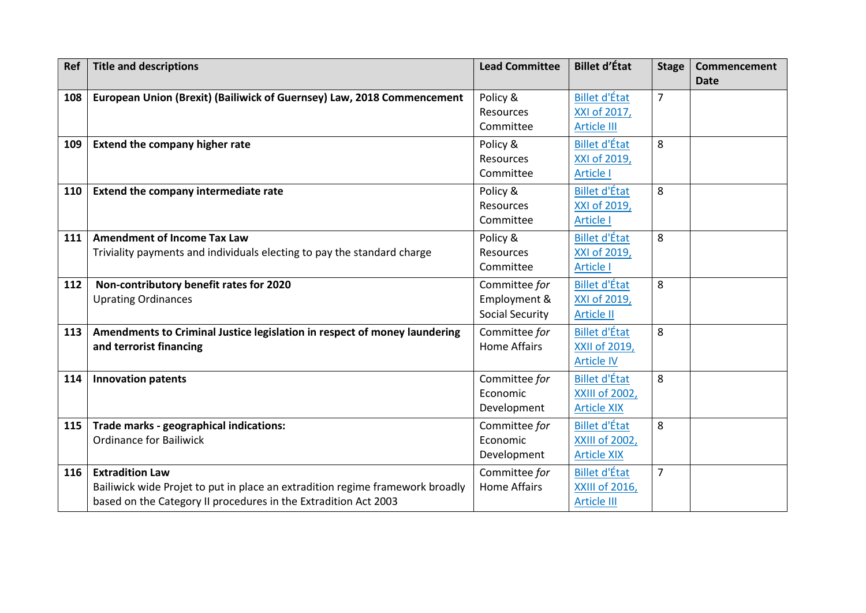| Ref | <b>Title and descriptions</b>                                                 | <b>Lead Committee</b>  | <b>Billet d'État</b> | <b>Stage</b>   | Commencement<br><b>Date</b> |
|-----|-------------------------------------------------------------------------------|------------------------|----------------------|----------------|-----------------------------|
| 108 | European Union (Brexit) (Bailiwick of Guernsey) Law, 2018 Commencement        | Policy &               | <b>Billet d'État</b> | $\overline{7}$ |                             |
|     |                                                                               | <b>Resources</b>       | XXI of 2017,         |                |                             |
|     |                                                                               | Committee              | <b>Article III</b>   |                |                             |
| 109 | <b>Extend the company higher rate</b>                                         | Policy &               | <b>Billet d'État</b> | 8              |                             |
|     |                                                                               | Resources              | XXI of 2019,         |                |                             |
|     |                                                                               | Committee              | <b>Article I</b>     |                |                             |
| 110 | Extend the company intermediate rate                                          | Policy &               | <b>Billet d'État</b> | 8              |                             |
|     |                                                                               | Resources              | XXI of 2019,         |                |                             |
|     |                                                                               | Committee              | Article I            |                |                             |
| 111 | <b>Amendment of Income Tax Law</b>                                            | Policy &               | <b>Billet d'État</b> | 8              |                             |
|     | Triviality payments and individuals electing to pay the standard charge       | <b>Resources</b>       | XXI of 2019,         |                |                             |
|     |                                                                               | Committee              | <b>Article I</b>     |                |                             |
| 112 | Non-contributory benefit rates for 2020                                       | Committee for          | <b>Billet d'État</b> | 8              |                             |
|     | <b>Uprating Ordinances</b>                                                    | Employment &           | XXI of 2019,         |                |                             |
|     |                                                                               | <b>Social Security</b> | <b>Article II</b>    |                |                             |
| 113 | Amendments to Criminal Justice legislation in respect of money laundering     | Committee for          | <b>Billet d'État</b> | 8              |                             |
|     | and terrorist financing                                                       | <b>Home Affairs</b>    | <b>XXII of 2019,</b> |                |                             |
|     |                                                                               |                        | <b>Article IV</b>    |                |                             |
| 114 | <b>Innovation patents</b>                                                     | Committee for          | <b>Billet d'État</b> | 8              |                             |
|     |                                                                               | Economic               | XXIII of 2002,       |                |                             |
|     |                                                                               | Development            | <b>Article XIX</b>   |                |                             |
| 115 | Trade marks - geographical indications:                                       | Committee for          | <b>Billet d'État</b> | 8              |                             |
|     | <b>Ordinance for Bailiwick</b>                                                | Economic               | XXIII of 2002,       |                |                             |
|     |                                                                               | Development            | <b>Article XIX</b>   |                |                             |
| 116 | <b>Extradition Law</b>                                                        | Committee for          | <b>Billet d'État</b> | $\overline{7}$ |                             |
|     | Bailiwick wide Projet to put in place an extradition regime framework broadly | <b>Home Affairs</b>    | XXIII of 2016,       |                |                             |
|     | based on the Category II procedures in the Extradition Act 2003               |                        | <b>Article III</b>   |                |                             |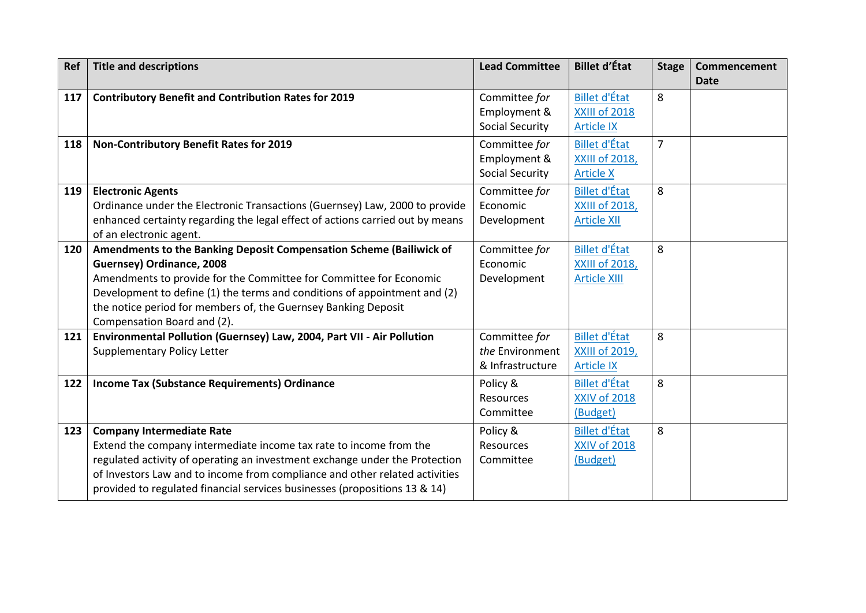| Ref | <b>Title and descriptions</b>                                                                                                                                                                                                                                                                                                                        | <b>Lead Committee</b>                                   | <b>Billet d'État</b>                                                 | <b>Stage</b>   | Commencement<br><b>Date</b> |
|-----|------------------------------------------------------------------------------------------------------------------------------------------------------------------------------------------------------------------------------------------------------------------------------------------------------------------------------------------------------|---------------------------------------------------------|----------------------------------------------------------------------|----------------|-----------------------------|
| 117 | <b>Contributory Benefit and Contribution Rates for 2019</b>                                                                                                                                                                                                                                                                                          | Committee for<br>Employment &<br><b>Social Security</b> | <b>Billet d'État</b><br>XXIII of 2018<br><b>Article IX</b>           | 8              |                             |
| 118 | <b>Non-Contributory Benefit Rates for 2019</b>                                                                                                                                                                                                                                                                                                       | Committee for<br>Employment &<br><b>Social Security</b> | <b>Billet d'État</b><br><b>XXIII of 2018,</b><br><b>Article X</b>    | $\overline{7}$ |                             |
| 119 | <b>Electronic Agents</b><br>Ordinance under the Electronic Transactions (Guernsey) Law, 2000 to provide<br>enhanced certainty regarding the legal effect of actions carried out by means<br>of an electronic agent.                                                                                                                                  | Committee for<br>Economic<br>Development                | <b>Billet d'État</b><br><b>XXIII of 2018,</b><br><b>Article XII</b>  | 8              |                             |
| 120 | Amendments to the Banking Deposit Compensation Scheme (Bailiwick of<br>Guernsey) Ordinance, 2008<br>Amendments to provide for the Committee for Committee for Economic<br>Development to define (1) the terms and conditions of appointment and (2)<br>the notice period for members of, the Guernsey Banking Deposit<br>Compensation Board and (2). | Committee for<br>Economic<br>Development                | <b>Billet d'État</b><br><b>XXIII of 2018,</b><br><b>Article XIII</b> | 8              |                             |
| 121 | Environmental Pollution (Guernsey) Law, 2004, Part VII - Air Pollution<br><b>Supplementary Policy Letter</b>                                                                                                                                                                                                                                         | Committee for<br>the Environment<br>& Infrastructure    | <b>Billet d'État</b><br><b>XXIII of 2019,</b><br><b>Article IX</b>   | 8              |                             |
| 122 | <b>Income Tax (Substance Requirements) Ordinance</b>                                                                                                                                                                                                                                                                                                 | Policy &<br><b>Resources</b><br>Committee               | <b>Billet d'État</b><br><b>XXIV of 2018</b><br>(Budget)              | 8              |                             |
| 123 | <b>Company Intermediate Rate</b><br>Extend the company intermediate income tax rate to income from the<br>regulated activity of operating an investment exchange under the Protection<br>of Investors Law and to income from compliance and other related activities<br>provided to regulated financial services businesses (propositions 13 & 14)   | Policy &<br><b>Resources</b><br>Committee               | <b>Billet d'État</b><br><b>XXIV of 2018</b><br>(Budget)              | 8              |                             |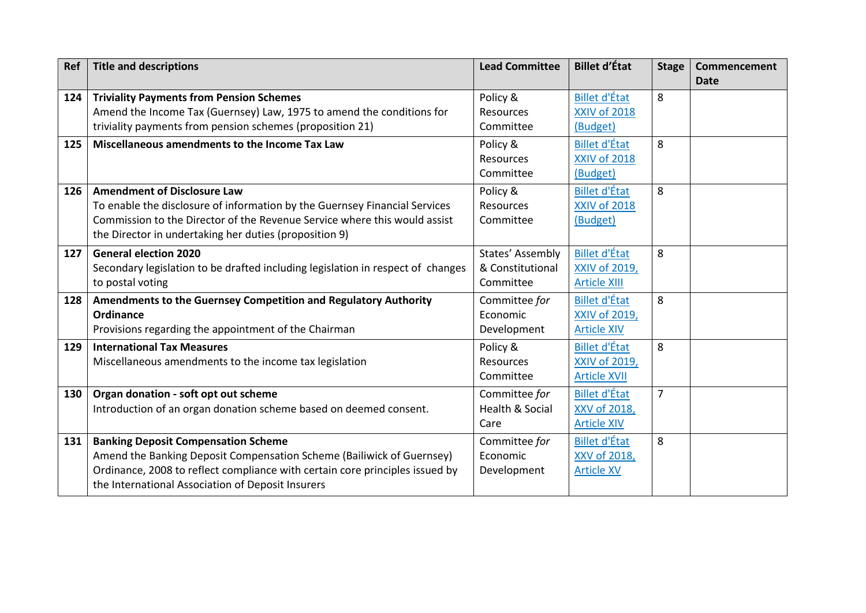| Ref | <b>Title and descriptions</b>                                                                                                                                                                                                                            | <b>Lead Committee</b>                               | <b>Billet d'État</b>                                         | <b>Stage</b>   | <b>Commencement</b><br><b>Date</b> |
|-----|----------------------------------------------------------------------------------------------------------------------------------------------------------------------------------------------------------------------------------------------------------|-----------------------------------------------------|--------------------------------------------------------------|----------------|------------------------------------|
| 124 | <b>Triviality Payments from Pension Schemes</b><br>Amend the Income Tax (Guernsey) Law, 1975 to amend the conditions for<br>triviality payments from pension schemes (proposition 21)                                                                    | Policy &<br>Resources<br>Committee                  | <b>Billet d'État</b><br><b>XXIV of 2018</b><br>(Budget)      | 8              |                                    |
| 125 | Miscellaneous amendments to the Income Tax Law                                                                                                                                                                                                           | Policy &<br><b>Resources</b><br>Committee           | <b>Billet d'État</b><br><b>XXIV of 2018</b><br>(Budget)      | 8              |                                    |
| 126 | <b>Amendment of Disclosure Law</b><br>To enable the disclosure of information by the Guernsey Financial Services<br>Commission to the Director of the Revenue Service where this would assist<br>the Director in undertaking her duties (proposition 9)  | Policy &<br>Resources<br>Committee                  | <b>Billet d'État</b><br><b>XXIV of 2018</b><br>(Budget)      | 8              |                                    |
| 127 | <b>General election 2020</b><br>Secondary legislation to be drafted including legislation in respect of changes<br>to postal voting                                                                                                                      | States' Assembly<br>& Constitutional<br>Committee   | <b>Billet d'État</b><br>XXIV of 2019,<br><b>Article XIII</b> | 8              |                                    |
| 128 | Amendments to the Guernsey Competition and Regulatory Authority<br>Ordinance<br>Provisions regarding the appointment of the Chairman                                                                                                                     | Committee for<br>Economic<br>Development            | <b>Billet d'État</b><br>XXIV of 2019,<br><b>Article XIV</b>  | 8              |                                    |
| 129 | <b>International Tax Measures</b><br>Miscellaneous amendments to the income tax legislation                                                                                                                                                              | Policy &<br>Resources<br>Committee                  | <b>Billet d'État</b><br>XXIV of 2019,<br><b>Article XVII</b> | 8              |                                    |
| 130 | Organ donation - soft opt out scheme<br>Introduction of an organ donation scheme based on deemed consent.                                                                                                                                                | Committee for<br><b>Health &amp; Social</b><br>Care | <b>Billet d'État</b><br>XXV of 2018,<br><b>Article XIV</b>   | $\overline{7}$ |                                    |
| 131 | <b>Banking Deposit Compensation Scheme</b><br>Amend the Banking Deposit Compensation Scheme (Bailiwick of Guernsey)<br>Ordinance, 2008 to reflect compliance with certain core principles issued by<br>the International Association of Deposit Insurers | Committee for<br>Economic<br>Development            | <b>Billet d'État</b><br>XXV of 2018,<br><b>Article XV</b>    | 8              |                                    |